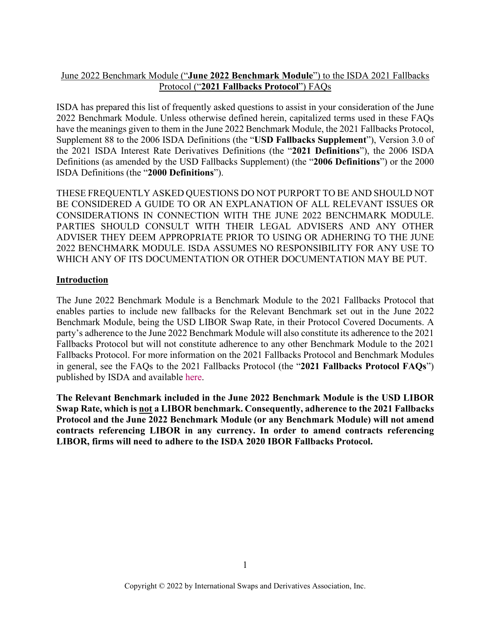# June 2022 Benchmark Module ("**June 2022 Benchmark Module**") to the ISDA 2021 Fallbacks Protocol ("**2021 Fallbacks Protocol**") FAQs

ISDA has prepared this list of frequently asked questions to assist in your consideration of the June 2022 Benchmark Module. Unless otherwise defined herein, capitalized terms used in these FAQs have the meanings given to them in the June 2022 Benchmark Module, the 2021 Fallbacks Protocol, Supplement 88 to the 2006 ISDA Definitions (the "**USD Fallbacks Supplement**"), Version 3.0 of the 2021 ISDA Interest Rate Derivatives Definitions (the "**2021 Definitions**"), the 2006 ISDA Definitions (as amended by the USD Fallbacks Supplement) (the "**2006 Definitions**") or the 2000 ISDA Definitions (the "**2000 Definitions**").

THESE FREQUENTLY ASKED QUESTIONS DO NOT PURPORT TO BE AND SHOULD NOT BE CONSIDERED A GUIDE TO OR AN EXPLANATION OF ALL RELEVANT ISSUES OR CONSIDERATIONS IN CONNECTION WITH THE JUNE 2022 BENCHMARK MODULE. PARTIES SHOULD CONSULT WITH THEIR LEGAL ADVISERS AND ANY OTHER ADVISER THEY DEEM APPROPRIATE PRIOR TO USING OR ADHERING TO THE JUNE 2022 BENCHMARK MODULE. ISDA ASSUMES NO RESPONSIBILITY FOR ANY USE TO WHICH ANY OF ITS DOCUMENTATION OR OTHER DOCUMENTATION MAY BE PUT.

# **Introduction**

The June 2022 Benchmark Module is a Benchmark Module to the 2021 Fallbacks Protocol that enables parties to include new fallbacks for the Relevant Benchmark set out in the June 2022 Benchmark Module, being the USD LIBOR Swap Rate, in their Protocol Covered Documents. A party's adherence to the June 2022 Benchmark Module will also constitute its adherence to the 2021 Fallbacks Protocol but will not constitute adherence to any other Benchmark Module to the 2021 Fallbacks Protocol. For more information on the 2021 Fallbacks Protocol and Benchmark Modules in general, see the FAQs to the 2021 Fallbacks Protocol (the "**2021 Fallbacks Protocol FAQs**") published by ISDA and available [here.](https://www.isda.org/a/ehtgE/ISDA-2021-Fallbacks-Protocol-FAQs.pdf)

**The Relevant Benchmark included in the June 2022 Benchmark Module is the USD LIBOR Swap Rate, which is not a LIBOR benchmark. Consequently, adherence to the 2021 Fallbacks Protocol and the June 2022 Benchmark Module (or any Benchmark Module) will not amend contracts referencing LIBOR in any currency. In order to amend contracts referencing LIBOR, firms will need to adhere to the ISDA 2020 IBOR Fallbacks Protocol.**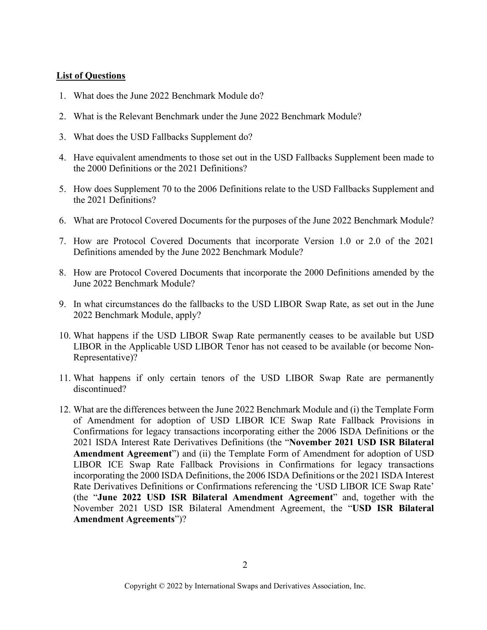## **List of Questions**

- 1. What does the June 2022 Benchmark Module do?
- 2. What is the Relevant Benchmark under the June 2022 Benchmark Module?
- 3. What does the USD Fallbacks Supplement do?
- 4. Have equivalent amendments to those set out in the USD Fallbacks Supplement been made to the 2000 Definitions or the 2021 Definitions?
- 5. How does Supplement 70 to the 2006 Definitions relate to the USD Fallbacks Supplement and the 2021 Definitions?
- 6. What are Protocol Covered Documents for the purposes of the June 2022 Benchmark Module?
- 7. How are Protocol Covered Documents that incorporate Version 1.0 or 2.0 of the 2021 Definitions amended by the June 2022 Benchmark Module?
- 8. How are Protocol Covered Documents that incorporate the 2000 Definitions amended by the June 2022 Benchmark Module?
- 9. In what circumstances do the fallbacks to the USD LIBOR Swap Rate, as set out in the June 2022 Benchmark Module, apply?
- 10. What happens if the USD LIBOR Swap Rate permanently ceases to be available but USD LIBOR in the Applicable USD LIBOR Tenor has not ceased to be available (or become Non-Representative)?
- 11. What happens if only certain tenors of the USD LIBOR Swap Rate are permanently discontinued?
- 12. What are the differences between the June 2022 Benchmark Module and (i) the Template Form of Amendment for adoption of USD LIBOR ICE Swap Rate Fallback Provisions in Confirmations for legacy transactions incorporating either the 2006 ISDA Definitions or the 2021 ISDA Interest Rate Derivatives Definitions (the "**November 2021 USD ISR Bilateral Amendment Agreement**") and (ii) the Template Form of Amendment for adoption of USD LIBOR ICE Swap Rate Fallback Provisions in Confirmations for legacy transactions incorporating the 2000 ISDA Definitions, the 2006 ISDA Definitions or the 2021 ISDA Interest Rate Derivatives Definitions or Confirmations referencing the 'USD LIBOR ICE Swap Rate' (the "**June 2022 USD ISR Bilateral Amendment Agreement**" and, together with the November 2021 USD ISR Bilateral Amendment Agreement, the "**USD ISR Bilateral Amendment Agreements**")?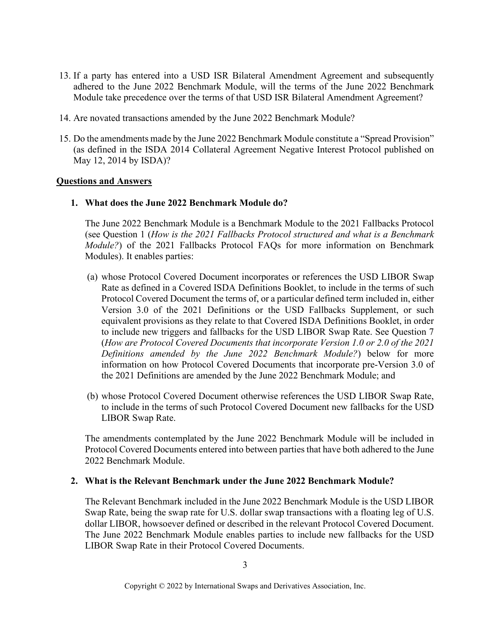- 13. If a party has entered into a USD ISR Bilateral Amendment Agreement and subsequently adhered to the June 2022 Benchmark Module, will the terms of the June 2022 Benchmark Module take precedence over the terms of that USD ISR Bilateral Amendment Agreement?
- 14. Are novated transactions amended by the June 2022 Benchmark Module?
- 15. Do the amendments made by the June 2022 Benchmark Module constitute a "Spread Provision" (as defined in the ISDA 2014 Collateral Agreement Negative Interest Protocol published on May 12, 2014 by ISDA)?

### **Questions and Answers**

## **1. What does the June 2022 Benchmark Module do?**

The June 2022 Benchmark Module is a Benchmark Module to the 2021 Fallbacks Protocol (see Question 1 (*How is the 2021 Fallbacks Protocol structured and what is a Benchmark Module?*) of the 2021 Fallbacks Protocol FAQs for more information on Benchmark Modules). It enables parties:

- (a) whose Protocol Covered Document incorporates or references the USD LIBOR Swap Rate as defined in a Covered ISDA Definitions Booklet, to include in the terms of such Protocol Covered Document the terms of, or a particular defined term included in, either Version 3.0 of the 2021 Definitions or the USD Fallbacks Supplement, or such equivalent provisions as they relate to that Covered ISDA Definitions Booklet, in order to include new triggers and fallbacks for the USD LIBOR Swap Rate. See Question 7 (*How are Protocol Covered Documents that incorporate Version 1.0 or 2.0 of the 2021 Definitions amended by the June 2022 Benchmark Module?*) below for more information on how Protocol Covered Documents that incorporate pre-Version 3.0 of the 2021 Definitions are amended by the June 2022 Benchmark Module; and
- (b) whose Protocol Covered Document otherwise references the USD LIBOR Swap Rate, to include in the terms of such Protocol Covered Document new fallbacks for the USD LIBOR Swap Rate.

The amendments contemplated by the June 2022 Benchmark Module will be included in Protocol Covered Documents entered into between parties that have both adhered to the June 2022 Benchmark Module.

#### **2. What is the Relevant Benchmark under the June 2022 Benchmark Module?**

The Relevant Benchmark included in the June 2022 Benchmark Module is the USD LIBOR Swap Rate, being the swap rate for U.S. dollar swap transactions with a floating leg of U.S. dollar LIBOR, howsoever defined or described in the relevant Protocol Covered Document. The June 2022 Benchmark Module enables parties to include new fallbacks for the USD LIBOR Swap Rate in their Protocol Covered Documents.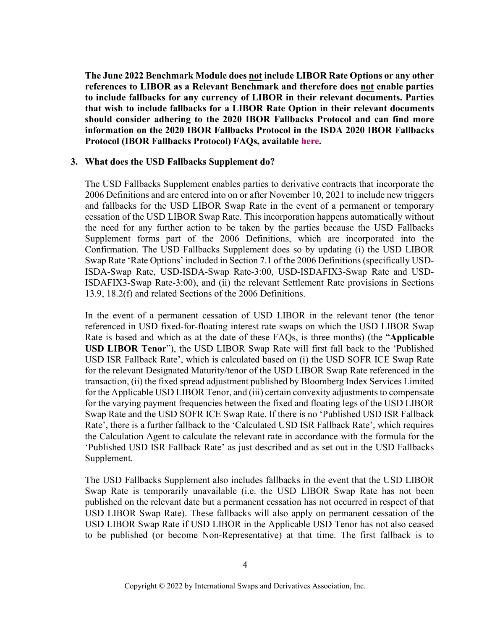**The June 2022 Benchmark Module does not include LIBOR Rate Options or any other references to LIBOR as a Relevant Benchmark and therefore does not enable parties to include fallbacks for any currency of LIBOR in their relevant documents. Parties that wish to include fallbacks for a LIBOR Rate Option in their relevant documents should consider adhering to the 2020 IBOR Fallbacks Protocol and can find more information on the 2020 IBOR Fallbacks Protocol in the ISDA 2020 IBOR Fallbacks Protocol (IBOR Fallbacks Protocol) FAQs, available [here.](http://assets.isda.org/media/3062e7b4/3cfa460a-pdf/)**

#### **3. What does the USD Fallbacks Supplement do?**

The USD Fallbacks Supplement enables parties to derivative contracts that incorporate the 2006 Definitions and are entered into on or after November 10, 2021 to include new triggers and fallbacks for the USD LIBOR Swap Rate in the event of a permanent or temporary cessation of the USD LIBOR Swap Rate. This incorporation happens automatically without the need for any further action to be taken by the parties because the USD Fallbacks Supplement forms part of the 2006 Definitions, which are incorporated into the Confirmation. The USD Fallbacks Supplement does so by updating (i) the USD LIBOR Swap Rate 'Rate Options' included in Section 7.1 of the 2006 Definitions (specifically USD-ISDA-Swap Rate, USD-ISDA-Swap Rate-3:00, USD-ISDAFIX3-Swap Rate and USD-ISDAFIX3-Swap Rate-3:00), and (ii) the relevant Settlement Rate provisions in Sections 13.9, 18.2(f) and related Sections of the 2006 Definitions.

In the event of a permanent cessation of USD LIBOR in the relevant tenor (the tenor referenced in USD fixed-for-floating interest rate swaps on which the USD LIBOR Swap Rate is based and which as at the date of these FAQs, is three months) (the "**Applicable USD LIBOR Tenor**"), the USD LIBOR Swap Rate will first fall back to the 'Published USD ISR Fallback Rate', which is calculated based on (i) the USD SOFR ICE Swap Rate for the relevant Designated Maturity/tenor of the USD LIBOR Swap Rate referenced in the transaction, (ii) the fixed spread adjustment published by Bloomberg Index Services Limited for the Applicable USD LIBOR Tenor, and (iii) certain convexity adjustments to compensate for the varying payment frequencies between the fixed and floating legs of the USD LIBOR Swap Rate and the USD SOFR ICE Swap Rate. If there is no 'Published USD ISR Fallback Rate', there is a further fallback to the 'Calculated USD ISR Fallback Rate', which requires the Calculation Agent to calculate the relevant rate in accordance with the formula for the 'Published USD ISR Fallback Rate' as just described and as set out in the USD Fallbacks Supplement.

The USD Fallbacks Supplement also includes fallbacks in the event that the USD LIBOR Swap Rate is temporarily unavailable (i.e. the USD LIBOR Swap Rate has not been published on the relevant date but a permanent cessation has not occurred in respect of that USD LIBOR Swap Rate). These fallbacks will also apply on permanent cessation of the USD LIBOR Swap Rate if USD LIBOR in the Applicable USD Tenor has not also ceased to be published (or become Non-Representative) at that time. The first fallback is to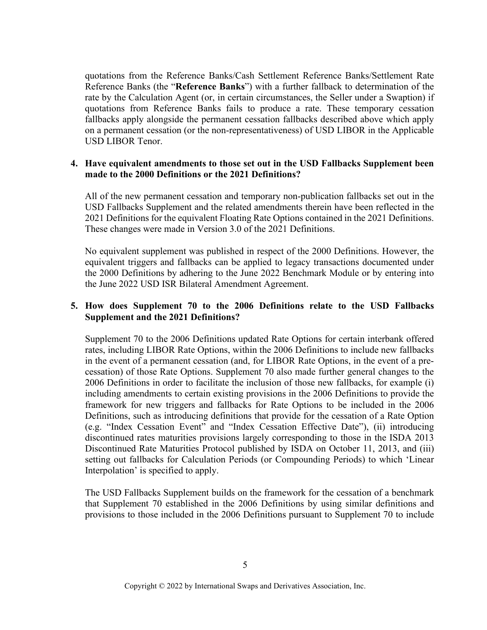quotations from the Reference Banks/Cash Settlement Reference Banks/Settlement Rate Reference Banks (the "**Reference Banks**") with a further fallback to determination of the rate by the Calculation Agent (or, in certain circumstances, the Seller under a Swaption) if quotations from Reference Banks fails to produce a rate. These temporary cessation fallbacks apply alongside the permanent cessation fallbacks described above which apply on a permanent cessation (or the non-representativeness) of USD LIBOR in the Applicable USD LIBOR Tenor.

## **4. Have equivalent amendments to those set out in the USD Fallbacks Supplement been made to the 2000 Definitions or the 2021 Definitions?**

All of the new permanent cessation and temporary non-publication fallbacks set out in the USD Fallbacks Supplement and the related amendments therein have been reflected in the 2021 Definitions for the equivalent Floating Rate Options contained in the 2021 Definitions. These changes were made in Version 3.0 of the 2021 Definitions.

No equivalent supplement was published in respect of the 2000 Definitions. However, the equivalent triggers and fallbacks can be applied to legacy transactions documented under the 2000 Definitions by adhering to the June 2022 Benchmark Module or by entering into the June 2022 USD ISR Bilateral Amendment Agreement.

# **5. How does Supplement 70 to the 2006 Definitions relate to the USD Fallbacks Supplement and the 2021 Definitions?**

Supplement 70 to the 2006 Definitions updated Rate Options for certain interbank offered rates, including LIBOR Rate Options, within the 2006 Definitions to include new fallbacks in the event of a permanent cessation (and, for LIBOR Rate Options, in the event of a precessation) of those Rate Options. Supplement 70 also made further general changes to the 2006 Definitions in order to facilitate the inclusion of those new fallbacks, for example (i) including amendments to certain existing provisions in the 2006 Definitions to provide the framework for new triggers and fallbacks for Rate Options to be included in the 2006 Definitions, such as introducing definitions that provide for the cessation of a Rate Option (e.g. "Index Cessation Event" and "Index Cessation Effective Date"), (ii) introducing discontinued rates maturities provisions largely corresponding to those in the ISDA 2013 Discontinued Rate Maturities Protocol published by ISDA on October 11, 2013, and (iii) setting out fallbacks for Calculation Periods (or Compounding Periods) to which 'Linear Interpolation' is specified to apply.

The USD Fallbacks Supplement builds on the framework for the cessation of a benchmark that Supplement 70 established in the 2006 Definitions by using similar definitions and provisions to those included in the 2006 Definitions pursuant to Supplement 70 to include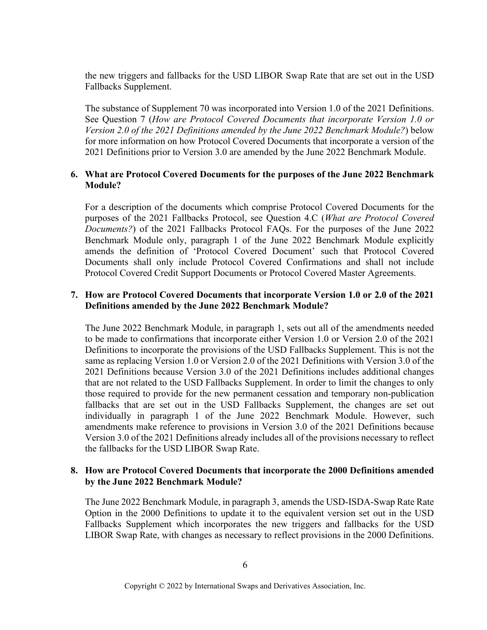the new triggers and fallbacks for the USD LIBOR Swap Rate that are set out in the USD Fallbacks Supplement.

The substance of Supplement 70 was incorporated into Version 1.0 of the 2021 Definitions. See Question 7 (*How are Protocol Covered Documents that incorporate Version 1.0 or Version 2.0 of the 2021 Definitions amended by the June 2022 Benchmark Module?*) below for more information on how Protocol Covered Documents that incorporate a version of the 2021 Definitions prior to Version 3.0 are amended by the June 2022 Benchmark Module.

## **6. What are Protocol Covered Documents for the purposes of the June 2022 Benchmark Module?**

For a description of the documents which comprise Protocol Covered Documents for the purposes of the 2021 Fallbacks Protocol, see Question 4.C (*What are Protocol Covered Documents?*) of the 2021 Fallbacks Protocol FAQs. For the purposes of the June 2022 Benchmark Module only, paragraph 1 of the June 2022 Benchmark Module explicitly amends the definition of 'Protocol Covered Document' such that Protocol Covered Documents shall only include Protocol Covered Confirmations and shall not include Protocol Covered Credit Support Documents or Protocol Covered Master Agreements.

## **7. How are Protocol Covered Documents that incorporate Version 1.0 or 2.0 of the 2021 Definitions amended by the June 2022 Benchmark Module?**

The June 2022 Benchmark Module, in paragraph 1, sets out all of the amendments needed to be made to confirmations that incorporate either Version 1.0 or Version 2.0 of the 2021 Definitions to incorporate the provisions of the USD Fallbacks Supplement. This is not the same as replacing Version 1.0 or Version 2.0 of the 2021 Definitions with Version 3.0 of the 2021 Definitions because Version 3.0 of the 2021 Definitions includes additional changes that are not related to the USD Fallbacks Supplement. In order to limit the changes to only those required to provide for the new permanent cessation and temporary non-publication fallbacks that are set out in the USD Fallbacks Supplement, the changes are set out individually in paragraph 1 of the June 2022 Benchmark Module. However, such amendments make reference to provisions in Version 3.0 of the 2021 Definitions because Version 3.0 of the 2021 Definitions already includes all of the provisions necessary to reflect the fallbacks for the USD LIBOR Swap Rate.

### **8. How are Protocol Covered Documents that incorporate the 2000 Definitions amended by the June 2022 Benchmark Module?**

The June 2022 Benchmark Module, in paragraph 3, amends the USD-ISDA-Swap Rate Rate Option in the 2000 Definitions to update it to the equivalent version set out in the USD Fallbacks Supplement which incorporates the new triggers and fallbacks for the USD LIBOR Swap Rate, with changes as necessary to reflect provisions in the 2000 Definitions.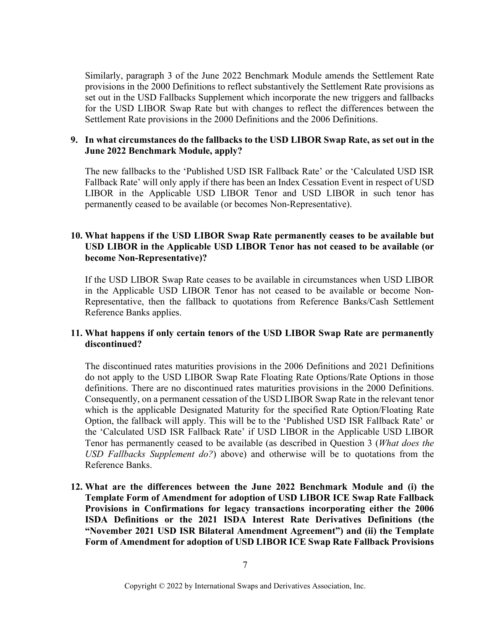Similarly, paragraph 3 of the June 2022 Benchmark Module amends the Settlement Rate provisions in the 2000 Definitions to reflect substantively the Settlement Rate provisions as set out in the USD Fallbacks Supplement which incorporate the new triggers and fallbacks for the USD LIBOR Swap Rate but with changes to reflect the differences between the Settlement Rate provisions in the 2000 Definitions and the 2006 Definitions.

## **9. In what circumstances do the fallbacks to the USD LIBOR Swap Rate, as set out in the June 2022 Benchmark Module, apply?**

The new fallbacks to the 'Published USD ISR Fallback Rate' or the 'Calculated USD ISR Fallback Rate' will only apply if there has been an Index Cessation Event in respect of USD LIBOR in the Applicable USD LIBOR Tenor and USD LIBOR in such tenor has permanently ceased to be available (or becomes Non-Representative).

# **10. What happens if the USD LIBOR Swap Rate permanently ceases to be available but USD LIBOR in the Applicable USD LIBOR Tenor has not ceased to be available (or become Non-Representative)?**

If the USD LIBOR Swap Rate ceases to be available in circumstances when USD LIBOR in the Applicable USD LIBOR Tenor has not ceased to be available or become Non-Representative, then the fallback to quotations from Reference Banks/Cash Settlement Reference Banks applies.

## **11. What happens if only certain tenors of the USD LIBOR Swap Rate are permanently discontinued?**

The discontinued rates maturities provisions in the 2006 Definitions and 2021 Definitions do not apply to the USD LIBOR Swap Rate Floating Rate Options/Rate Options in those definitions. There are no discontinued rates maturities provisions in the 2000 Definitions. Consequently, on a permanent cessation of the USD LIBOR Swap Rate in the relevant tenor which is the applicable Designated Maturity for the specified Rate Option/Floating Rate Option, the fallback will apply. This will be to the 'Published USD ISR Fallback Rate' or the 'Calculated USD ISR Fallback Rate' if USD LIBOR in the Applicable USD LIBOR Tenor has permanently ceased to be available (as described in Question 3 (*What does the USD Fallbacks Supplement do?*) above) and otherwise will be to quotations from the Reference Banks.

**12. What are the differences between the June 2022 Benchmark Module and (i) the Template Form of Amendment for adoption of USD LIBOR ICE Swap Rate Fallback Provisions in Confirmations for legacy transactions incorporating either the 2006 ISDA Definitions or the 2021 ISDA Interest Rate Derivatives Definitions (the "November 2021 USD ISR Bilateral Amendment Agreement") and (ii) the Template Form of Amendment for adoption of USD LIBOR ICE Swap Rate Fallback Provisions**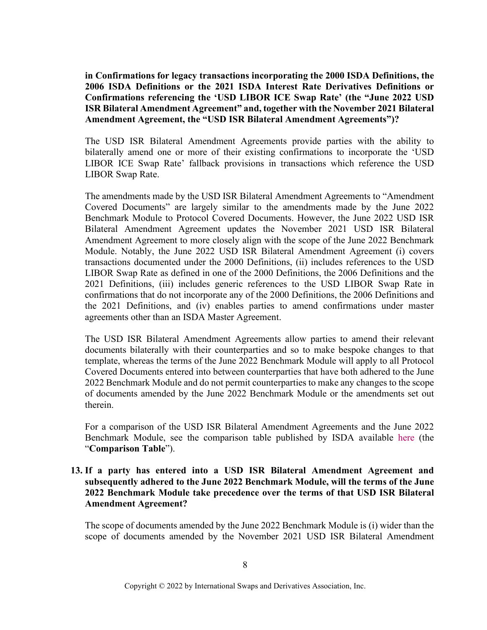**in Confirmations for legacy transactions incorporating the 2000 ISDA Definitions, the 2006 ISDA Definitions or the 2021 ISDA Interest Rate Derivatives Definitions or Confirmations referencing the 'USD LIBOR ICE Swap Rate' (the "June 2022 USD ISR Bilateral Amendment Agreement" and, together with the November 2021 Bilateral Amendment Agreement, the "USD ISR Bilateral Amendment Agreements")?**

The USD ISR Bilateral Amendment Agreements provide parties with the ability to bilaterally amend one or more of their existing confirmations to incorporate the 'USD LIBOR ICE Swap Rate' fallback provisions in transactions which reference the USD LIBOR Swap Rate.

The amendments made by the USD ISR Bilateral Amendment Agreements to "Amendment Covered Documents" are largely similar to the amendments made by the June 2022 Benchmark Module to Protocol Covered Documents. However, the June 2022 USD ISR Bilateral Amendment Agreement updates the November 2021 USD ISR Bilateral Amendment Agreement to more closely align with the scope of the June 2022 Benchmark Module. Notably, the June 2022 USD ISR Bilateral Amendment Agreement (i) covers transactions documented under the 2000 Definitions, (ii) includes references to the USD LIBOR Swap Rate as defined in one of the 2000 Definitions, the 2006 Definitions and the 2021 Definitions, (iii) includes generic references to the USD LIBOR Swap Rate in confirmations that do not incorporate any of the 2000 Definitions, the 2006 Definitions and the 2021 Definitions, and (iv) enables parties to amend confirmations under master agreements other than an ISDA Master Agreement.

The USD ISR Bilateral Amendment Agreements allow parties to amend their relevant documents bilaterally with their counterparties and so to make bespoke changes to that template, whereas the terms of the June 2022 Benchmark Module will apply to all Protocol Covered Documents entered into between counterparties that have both adhered to the June 2022 Benchmark Module and do not permit counterparties to make any changes to the scope of documents amended by the June 2022 Benchmark Module or the amendments set out therein.

For a comparison of the USD ISR Bilateral Amendment Agreements and the June 2022 Benchmark Module, see the comparison table published by ISDA available [here](https://www.isda.org/a/7bWgE/Table-of-differences-between-the-BAAs-and-the-Module.pdf) (the "**Comparison Table**").

**13. If a party has entered into a USD ISR Bilateral Amendment Agreement and subsequently adhered to the June 2022 Benchmark Module, will the terms of the June 2022 Benchmark Module take precedence over the terms of that USD ISR Bilateral Amendment Agreement?**

The scope of documents amended by the June 2022 Benchmark Module is (i) wider than the scope of documents amended by the November 2021 USD ISR Bilateral Amendment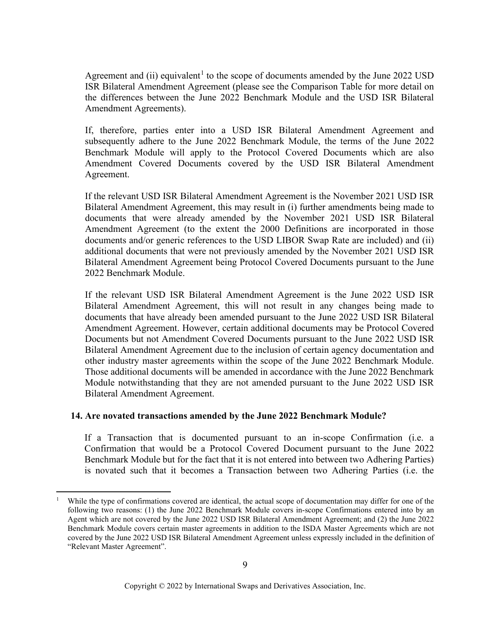Agreement and (ii) equivalent<sup>[1](#page-8-0)</sup> to the scope of documents amended by the June 2022 USD ISR Bilateral Amendment Agreement (please see the Comparison Table for more detail on the differences between the June 2022 Benchmark Module and the USD ISR Bilateral Amendment Agreements).

If, therefore, parties enter into a USD ISR Bilateral Amendment Agreement and subsequently adhere to the June 2022 Benchmark Module, the terms of the June 2022 Benchmark Module will apply to the Protocol Covered Documents which are also Amendment Covered Documents covered by the USD ISR Bilateral Amendment Agreement.

If the relevant USD ISR Bilateral Amendment Agreement is the November 2021 USD ISR Bilateral Amendment Agreement, this may result in (i) further amendments being made to documents that were already amended by the November 2021 USD ISR Bilateral Amendment Agreement (to the extent the 2000 Definitions are incorporated in those documents and/or generic references to the USD LIBOR Swap Rate are included) and (ii) additional documents that were not previously amended by the November 2021 USD ISR Bilateral Amendment Agreement being Protocol Covered Documents pursuant to the June 2022 Benchmark Module.

If the relevant USD ISR Bilateral Amendment Agreement is the June 2022 USD ISR Bilateral Amendment Agreement, this will not result in any changes being made to documents that have already been amended pursuant to the June 2022 USD ISR Bilateral Amendment Agreement. However, certain additional documents may be Protocol Covered Documents but not Amendment Covered Documents pursuant to the June 2022 USD ISR Bilateral Amendment Agreement due to the inclusion of certain agency documentation and other industry master agreements within the scope of the June 2022 Benchmark Module. Those additional documents will be amended in accordance with the June 2022 Benchmark Module notwithstanding that they are not amended pursuant to the June 2022 USD ISR Bilateral Amendment Agreement.

#### **14. Are novated transactions amended by the June 2022 Benchmark Module?**

If a Transaction that is documented pursuant to an in-scope Confirmation (i.e. a Confirmation that would be a Protocol Covered Document pursuant to the June 2022 Benchmark Module but for the fact that it is not entered into between two Adhering Parties) is novated such that it becomes a Transaction between two Adhering Parties (i.e. the

<span id="page-8-0"></span><sup>1</sup> While the type of confirmations covered are identical, the actual scope of documentation may differ for one of the following two reasons: (1) the June 2022 Benchmark Module covers in-scope Confirmations entered into by an Agent which are not covered by the June 2022 USD ISR Bilateral Amendment Agreement; and (2) the June 2022 Benchmark Module covers certain master agreements in addition to the ISDA Master Agreements which are not covered by the June 2022 USD ISR Bilateral Amendment Agreement unless expressly included in the definition of "Relevant Master Agreement".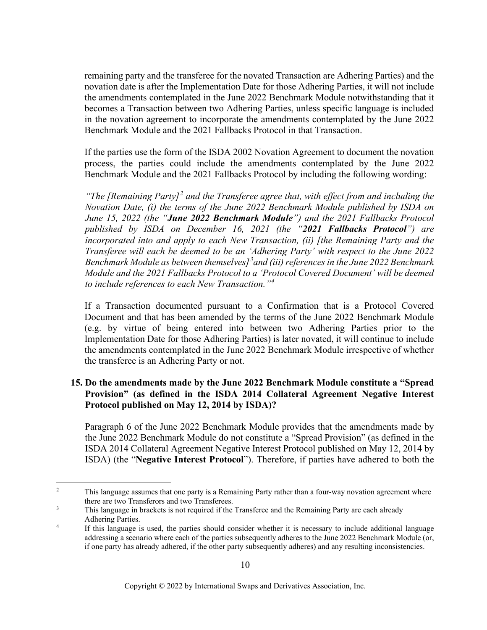remaining party and the transferee for the novated Transaction are Adhering Parties) and the novation date is after the Implementation Date for those Adhering Parties, it will not include the amendments contemplated in the June 2022 Benchmark Module notwithstanding that it becomes a Transaction between two Adhering Parties, unless specific language is included in the novation agreement to incorporate the amendments contemplated by the June 2022 Benchmark Module and the 2021 Fallbacks Protocol in that Transaction.

If the parties use the form of the ISDA 2002 Novation Agreement to document the novation process, the parties could include the amendments contemplated by the June 2022 Benchmark Module and the 2021 Fallbacks Protocol by including the following wording:

*"The [Remaining Party][2](#page-9-0) and the Transferee agree that, with effect from and including the Novation Date, (i) the terms of the June 2022 Benchmark Module published by ISDA on June 15, 2022 (the "June 2022 Benchmark Module") and the 2021 Fallbacks Protocol published by ISDA on December 16, 2021 (the "2021 Fallbacks Protocol") are incorporated into and apply to each New Transaction, (ii) [the Remaining Party and the Transferee will each be deemed to be an 'Adhering Party' with respect to the June 2022 Benchmark Module as between themselves][3](#page-9-1) and (iii) references in the June 2022 Benchmark Module and the 2021 Fallbacks Protocol to a 'Protocol Covered Document' will be deemed to include references to each New Transaction."[4](#page-9-2)*

If a Transaction documented pursuant to a Confirmation that is a Protocol Covered Document and that has been amended by the terms of the June 2022 Benchmark Module (e.g. by virtue of being entered into between two Adhering Parties prior to the Implementation Date for those Adhering Parties) is later novated, it will continue to include the amendments contemplated in the June 2022 Benchmark Module irrespective of whether the transferee is an Adhering Party or not.

# **15. Do the amendments made by the June 2022 Benchmark Module constitute a "Spread Provision" (as defined in the ISDA 2014 Collateral Agreement Negative Interest Protocol published on May 12, 2014 by ISDA)?**

Paragraph 6 of the June 2022 Benchmark Module provides that the amendments made by the June 2022 Benchmark Module do not constitute a "Spread Provision" (as defined in the ISDA 2014 Collateral Agreement Negative Interest Protocol published on May 12, 2014 by ISDA) (the "**Negative Interest Protocol**"). Therefore, if parties have adhered to both the

<span id="page-9-0"></span><sup>&</sup>lt;sup>2</sup> This language assumes that one party is a Remaining Party rather than a four-way novation agreement where there are two Transferors and two Transferees.<br><sup>3</sup> This language in brackets is not required if the Transferee and the Remaining Party are each already

<span id="page-9-1"></span>Adhering Parties.<br><sup>4</sup> If this language is used, the parties should consider whether it is necessary to include additional language

<span id="page-9-2"></span>addressing a scenario where each of the parties subsequently adheres to the June 2022 Benchmark Module (or, if one party has already adhered, if the other party subsequently adheres) and any resulting inconsistencies.